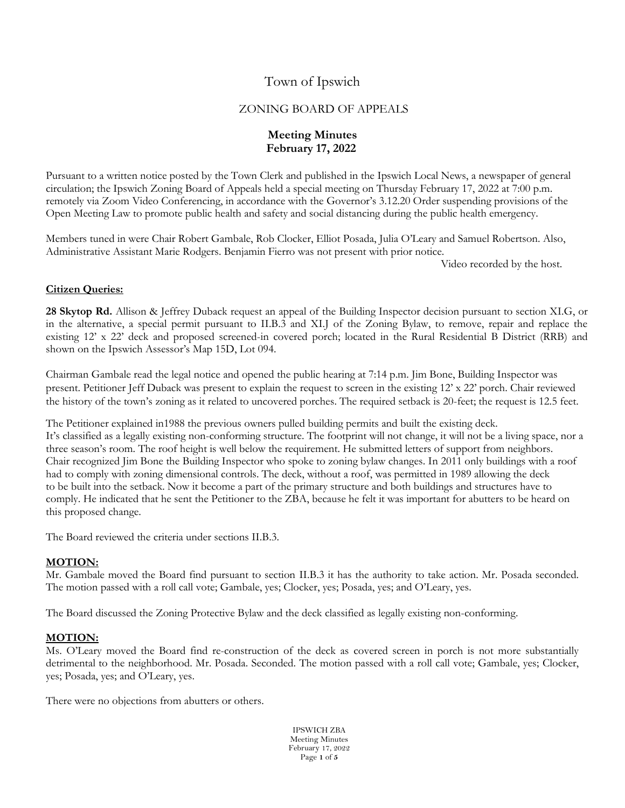Town of Ipswich

## ZONING BOARD OF APPEALS

## **Meeting Minutes February 17, 2022**

Pursuant to a written notice posted by the Town Clerk and published in the Ipswich Local News, a newspaper of general circulation; the Ipswich Zoning Board of Appeals held a special meeting on Thursday February 17, 2022 at 7:00 p.m. remotely via Zoom Video Conferencing, in accordance with the Governor's 3.12.20 Order suspending provisions of the Open Meeting Law to promote public health and safety and social distancing during the public health emergency.

Members tuned in were Chair Robert Gambale, Rob Clocker, Elliot Posada, Julia O'Leary and Samuel Robertson. Also, Administrative Assistant Marie Rodgers. Benjamin Fierro was not present with prior notice.

Video recorded by the host.

## **Citizen Queries:**

**28 Skytop Rd.** Allison & Jeffrey Duback request an appeal of the Building Inspector decision pursuant to section XI.G, or in the alternative, a special permit pursuant to II.B.3 and XI.J of the Zoning Bylaw, to remove, repair and replace the existing 12' x 22' deck and proposed screened-in covered porch; located in the Rural Residential B District (RRB) and shown on the Ipswich Assessor's Map 15D, Lot 094.

Chairman Gambale read the legal notice and opened the public hearing at 7:14 p.m. Jim Bone, Building Inspector was present. Petitioner Jeff Duback was present to explain the request to screen in the existing 12' x 22' porch. Chair reviewed the history of the town's zoning as it related to uncovered porches. The required setback is 20-feet; the request is 12.5 feet.

The Petitioner explained in1988 the previous owners pulled building permits and built the existing deck. It's classified as a legally existing non-conforming structure. The footprint will not change, it will not be a living space, nor a three season's room. The roof height is well below the requirement. He submitted letters of support from neighbors. Chair recognized Jim Bone the Building Inspector who spoke to zoning bylaw changes. In 2011 only buildings with a roof had to comply with zoning dimensional controls. The deck, without a roof, was permitted in 1989 allowing the deck to be built into the setback. Now it become a part of the primary structure and both buildings and structures have to comply. He indicated that he sent the Petitioner to the ZBA, because he felt it was important for abutters to be heard on this proposed change.

The Board reviewed the criteria under sections II.B.3.

# **MOTION:**

Mr. Gambale moved the Board find pursuant to section II.B.3 it has the authority to take action. Mr. Posada seconded. The motion passed with a roll call vote; Gambale, yes; Clocker, yes; Posada, yes; and O'Leary, yes.

The Board discussed the Zoning Protective Bylaw and the deck classified as legally existing non-conforming.

## **MOTION:**

Ms. O'Leary moved the Board find re-construction of the deck as covered screen in porch is not more substantially detrimental to the neighborhood. Mr. Posada. Seconded. The motion passed with a roll call vote; Gambale, yes; Clocker, yes; Posada, yes; and O'Leary, yes.

There were no objections from abutters or others.

IPSWICH ZBA Meeting Minutes February 17, 2022 Page **1** of **5**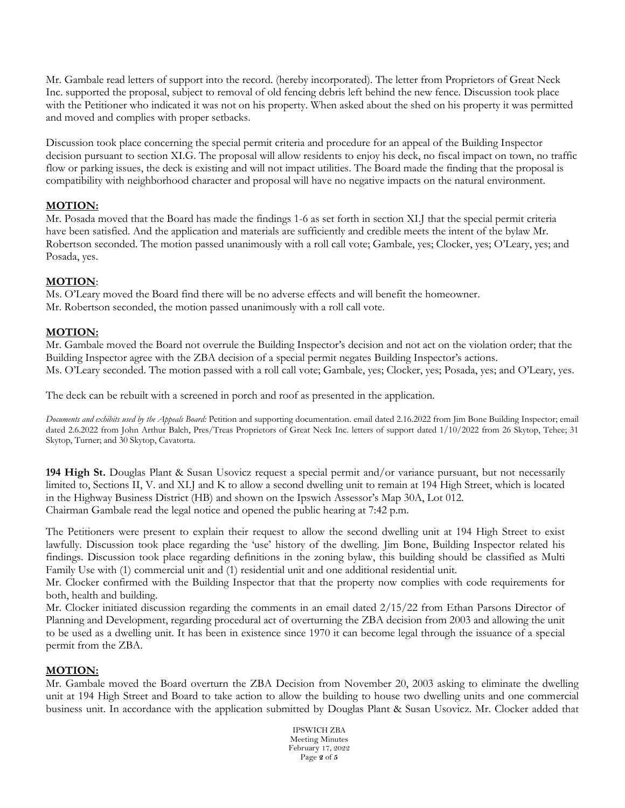Mr. Gambale read letters of support into the record. (hereby incorporated). The letter from Proprietors of Great Neck Inc. supported the proposal, subject to removal of old fencing debris left behind the new fence. Discussion took place with the Petitioner who indicated it was not on his property. When asked about the shed on his property it was permitted and moved and complies with proper setbacks.

Discussion took place concerning the special permit criteria and procedure for an appeal of the Building Inspector decision pursuant to section XI.G. The proposal will allow residents to enjoy his deck, no fiscal impact on town, no traffic flow or parking issues, the deck is existing and will not impact utilities. The Board made the finding that the proposal is compatibility with neighborhood character and proposal will have no negative impacts on the natural environment.

#### **MOTION:**

Mr. Posada moved that the Board has made the findings 1-6 as set forth in section XI.J that the special permit criteria have been satisfied. And the application and materials are sufficiently and credible meets the intent of the bylaw Mr. Robertson seconded. The motion passed unanimously with a roll call vote; Gambale, yes; Clocker, yes; O'Leary, yes; and Posada, yes.

### **MOTION**:

Ms. O'Leary moved the Board find there will be no adverse effects and will benefit the homeowner. Mr. Robertson seconded, the motion passed unanimously with a roll call vote.

## **MOTION:**

Mr. Gambale moved the Board not overrule the Building Inspector's decision and not act on the violation order; that the Building Inspector agree with the ZBA decision of a special permit negates Building Inspector's actions. Ms. O'Leary seconded. The motion passed with a roll call vote; Gambale, yes; Clocker, yes; Posada, yes; and O'Leary, yes.

The deck can be rebuilt with a screened in porch and roof as presented in the application.

*Documents and exhibits used by the Appeals Board:* Petition and supporting documentation. email dated 2.16.2022 from Jim Bone Building Inspector; email dated 2.6.2022 from John Arthur Balch, Pres/Treas Proprietors of Great Neck Inc. letters of support dated 1/10/2022 from 26 Skytop, Tehee; 31 Skytop, Turner; and 30 Skytop, Cavatorta.

**194 High St.** Douglas Plant & Susan Usovicz request a special permit and/or variance pursuant, but not necessarily limited to, Sections II, V. and XI.J and K to allow a second dwelling unit to remain at 194 High Street, which is located in the Highway Business District (HB) and shown on the Ipswich Assessor's Map 30A, Lot 012. Chairman Gambale read the legal notice and opened the public hearing at 7:42 p.m.

The Petitioners were present to explain their request to allow the second dwelling unit at 194 High Street to exist lawfully. Discussion took place regarding the 'use' history of the dwelling. Jim Bone, Building Inspector related his findings. Discussion took place regarding definitions in the zoning bylaw, this building should be classified as Multi Family Use with (1) commercial unit and (1) residential unit and one additional residential unit.

Mr. Clocker confirmed with the Building Inspector that that the property now complies with code requirements for both, health and building.

Mr. Clocker initiated discussion regarding the comments in an email dated 2/15/22 from Ethan Parsons Director of Planning and Development, regarding procedural act of overturning the ZBA decision from 2003 and allowing the unit to be used as a dwelling unit. It has been in existence since 1970 it can become legal through the issuance of a special permit from the ZBA.

#### **MOTION:**

Mr. Gambale moved the Board overturn the ZBA Decision from November 20, 2003 asking to eliminate the dwelling unit at 194 High Street and Board to take action to allow the building to house two dwelling units and one commercial business unit. In accordance with the application submitted by Douglas Plant & Susan Usovicz. Mr. Clocker added that

> IPSWICH ZBA Meeting Minutes February 17, 2022 Page **2** of **5**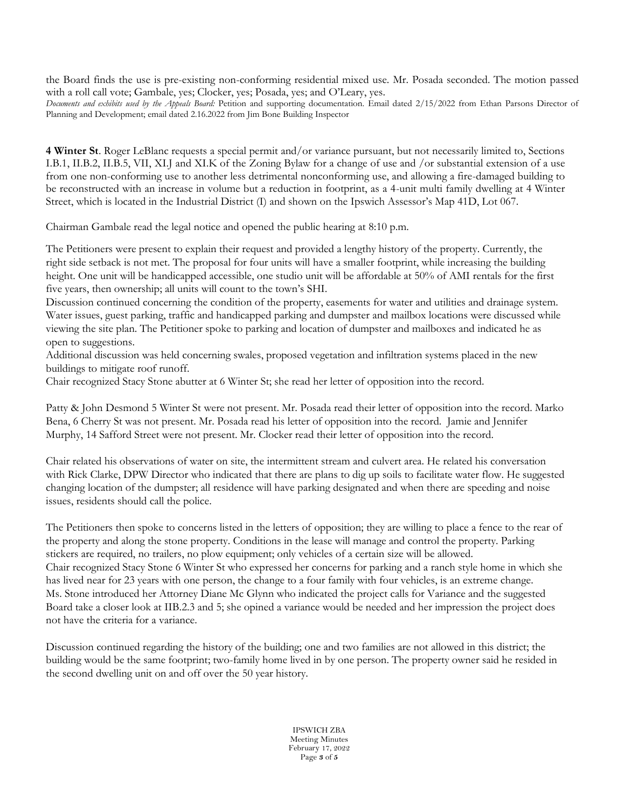the Board finds the use is pre-existing non-conforming residential mixed use. Mr. Posada seconded. The motion passed with a roll call vote; Gambale, yes; Clocker, yes; Posada, yes; and O'Leary, yes.

*Documents and exhibits used by the Appeals Board:* Petition and supporting documentation. Email dated 2/15/2022 from Ethan Parsons Director of Planning and Development; email dated 2.16.2022 from Jim Bone Building Inspector

**4 Winter St**. Roger LeBlanc requests a special permit and/or variance pursuant, but not necessarily limited to, Sections I.B.1, II.B.2, II.B.5, VII, XI.J and XI.K of the Zoning Bylaw for a change of use and /or substantial extension of a use from one non-conforming use to another less detrimental nonconforming use, and allowing a fire-damaged building to be reconstructed with an increase in volume but a reduction in footprint, as a 4-unit multi family dwelling at 4 Winter Street, which is located in the Industrial District (I) and shown on the Ipswich Assessor's Map 41D, Lot 067.

Chairman Gambale read the legal notice and opened the public hearing at 8:10 p.m.

The Petitioners were present to explain their request and provided a lengthy history of the property. Currently, the right side setback is not met. The proposal for four units will have a smaller footprint, while increasing the building height. One unit will be handicapped accessible, one studio unit will be affordable at 50% of AMI rentals for the first five years, then ownership; all units will count to the town's SHI.

Discussion continued concerning the condition of the property, easements for water and utilities and drainage system. Water issues, guest parking, traffic and handicapped parking and dumpster and mailbox locations were discussed while viewing the site plan. The Petitioner spoke to parking and location of dumpster and mailboxes and indicated he as open to suggestions.

Additional discussion was held concerning swales, proposed vegetation and infiltration systems placed in the new buildings to mitigate roof runoff.

Chair recognized Stacy Stone abutter at 6 Winter St; she read her letter of opposition into the record.

Patty & John Desmond 5 Winter St were not present. Mr. Posada read their letter of opposition into the record. Marko Bena, 6 Cherry St was not present. Mr. Posada read his letter of opposition into the record. Jamie and Jennifer Murphy, 14 Safford Street were not present. Mr. Clocker read their letter of opposition into the record.

Chair related his observations of water on site, the intermittent stream and culvert area. He related his conversation with Rick Clarke, DPW Director who indicated that there are plans to dig up soils to facilitate water flow. He suggested changing location of the dumpster; all residence will have parking designated and when there are speeding and noise issues, residents should call the police.

The Petitioners then spoke to concerns listed in the letters of opposition; they are willing to place a fence to the rear of the property and along the stone property. Conditions in the lease will manage and control the property. Parking stickers are required, no trailers, no plow equipment; only vehicles of a certain size will be allowed. Chair recognized Stacy Stone 6 Winter St who expressed her concerns for parking and a ranch style home in which she has lived near for 23 years with one person, the change to a four family with four vehicles, is an extreme change. Ms. Stone introduced her Attorney Diane Mc Glynn who indicated the project calls for Variance and the suggested Board take a closer look at IIB.2.3 and 5; she opined a variance would be needed and her impression the project does not have the criteria for a variance.

Discussion continued regarding the history of the building; one and two families are not allowed in this district; the building would be the same footprint; two-family home lived in by one person. The property owner said he resided in the second dwelling unit on and off over the 50 year history.

> IPSWICH ZBA Meeting Minutes February 17, 2022 Page **3** of **5**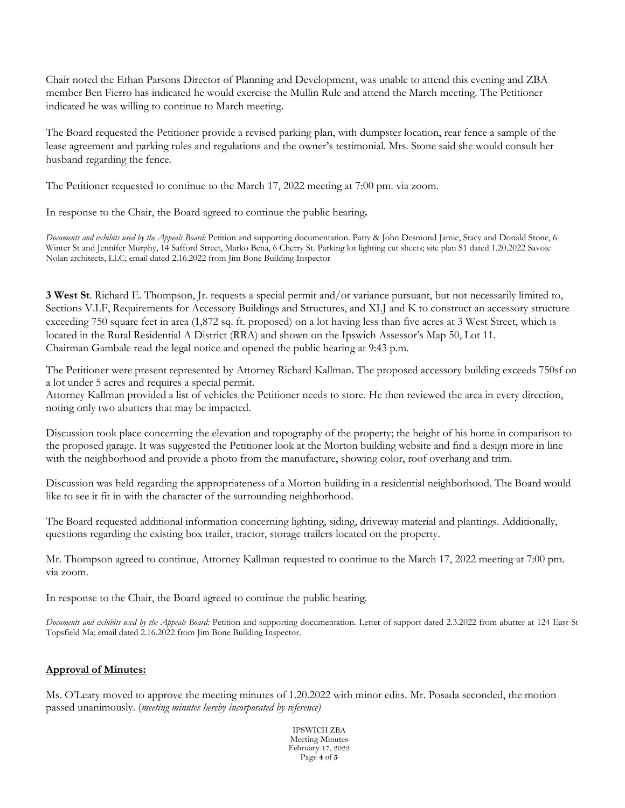Chair noted the Ethan Parsons Director of Planning and Development, was unable to attend this evening and ZBA member Ben Fierro has indicated he would exercise the Mullin Rule and attend the March meeting. The Petitioner indicated he was willing to continue to March meeting.

The Board requested the Petitioner provide a revised parking plan, with dumpster location, rear fence a sample of the lease agreement and parking rules and regulations and the owner's testimonial. Mrs. Stone said she would consult her husband regarding the fence.

The Petitioner requested to continue to the March 17, 2022 meeting at 7:00 pm. via zoom.

In response to the Chair, the Board agreed to continue the public hearing**.**

*Documents and exhibits used by the Appeals Board:* Petition and supporting documentation. Patty & John Desmond Jamie, Stacy and Donald Stone, 6 Winter St and Jennifer Murphy, 14 Safford Street, Marko Bena, 6 Cherry St. Parking lot lighting cut sheets; site plan S1 dated 1.20.2022 Savoie Nolan architects, LLC; email dated 2.16.2022 from Jim Bone Building Inspector

**3 West St**. Richard E. Thompson, Jr. requests a special permit and/or variance pursuant, but not necessarily limited to, Sections V.I.F, Requirements for Accessory Buildings and Structures, and XI.J and K to construct an accessory structure exceeding 750 square feet in area (1,872 sq. ft. proposed) on a lot having less than five acres at 3 West Street, which is located in the Rural Residential A District (RRA) and shown on the Ipswich Assessor's Map 50, Lot 11. Chairman Gambale read the legal notice and opened the public hearing at 9:43 p.m.

The Petitioner were present represented by Attorney Richard Kallman. The proposed accessory building exceeds 750sf on a lot under 5 acres and requires a special permit.

Attorney Kallman provided a list of vehicles the Petitioner needs to store. He then reviewed the area in every direction, noting only two abutters that may be impacted.

Discussion took place concerning the elevation and topography of the property; the height of his home in comparison to the proposed garage. It was suggested the Petitioner look at the Morton building website and find a design more in line with the neighborhood and provide a photo from the manufacture, showing color, roof overhang and trim.

Discussion was held regarding the appropriateness of a Morton building in a residential neighborhood. The Board would like to see it fit in with the character of the surrounding neighborhood.

The Board requested additional information concerning lighting, siding, driveway material and plantings. Additionally, questions regarding the existing box trailer, tractor, storage trailers located on the property.

Mr. Thompson agreed to continue, Attorney Kallman requested to continue to the March 17, 2022 meeting at 7:00 pm. via zoom.

In response to the Chair, the Board agreed to continue the public hearing.

*Documents and exhibits used by the Appeals Board:* Petition and supporting documentation. Letter of support dated 2.3.2022 from abutter at 124 East St Topsfield Ma; email dated 2.16.2022 from Jim Bone Building Inspector.

#### **Approval of Minutes:**

Ms. O'Leary moved to approve the meeting minutes of 1.20.2022 with minor edits. Mr. Posada seconded, the motion passed unanimously. (*meeting minutes hereby incorporated by reference)*

> IPSWICH ZBA Meeting Minutes February 17, 2022 Page **4** of **5**